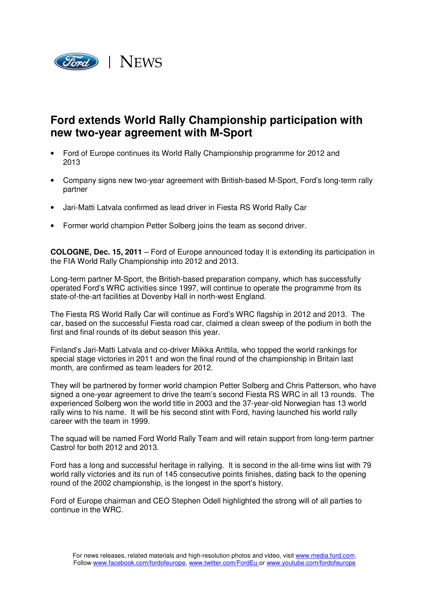

## **Ford extends World Rally Championship participation with new two-year agreement with M-Sport**

- Ford of Europe continues its World Rally Championship programme for 2012 and 2013
- Company signs new two-year agreement with British-based M-Sport, Ford's long-term rally partner
- Jari-Matti Latvala confirmed as lead driver in Fiesta RS World Rally Car
- Former world champion Petter Solberg joins the team as second driver.

**COLOGNE, Dec. 15, 2011** – Ford of Europe announced today it is extending its participation in the FIA World Rally Championship into 2012 and 2013.

Long-term partner M-Sport, the British-based preparation company, which has successfully operated Ford's WRC activities since 1997, will continue to operate the programme from its state-of-the-art facilities at Dovenby Hall in north-west England.

The Fiesta RS World Rally Car will continue as Ford's WRC flagship in 2012 and 2013. The car, based on the successful Fiesta road car, claimed a clean sweep of the podium in both the first and final rounds of its debut season this year.

Finland's Jari-Matti Latvala and co-driver Miikka Anttila, who topped the world rankings for special stage victories in 2011 and won the final round of the championship in Britain last month, are confirmed as team leaders for 2012.

They will be partnered by former world champion Petter Solberg and Chris Patterson, who have signed a one-year agreement to drive the team's second Fiesta RS WRC in all 13 rounds. The experienced Solberg won the world title in 2003 and the 37-year-old Norwegian has 13 world rally wins to his name. It will be his second stint with Ford, having launched his world rally career with the team in 1999.

The squad will be named Ford World Rally Team and will retain support from long-term partner Castrol for both 2012 and 2013.

Ford has a long and successful heritage in rallying. It is second in the all-time wins list with 79 world rally victories and its run of 145 consecutive points finishes, dating back to the opening round of the 2002 championship, is the longest in the sport's history.

Ford of Europe chairman and CEO Stephen Odell highlighted the strong will of all parties to continue in the WRC.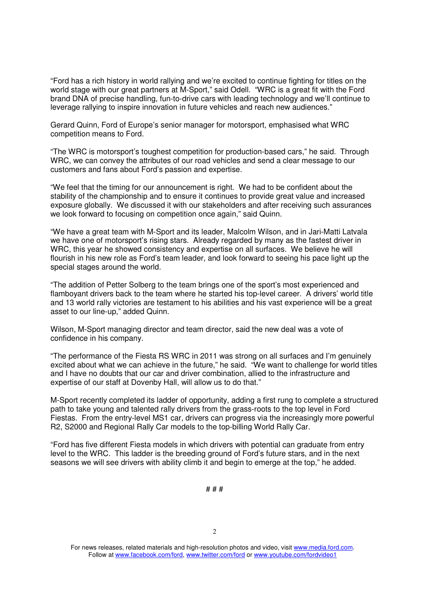"Ford has a rich history in world rallying and we're excited to continue fighting for titles on the world stage with our great partners at M-Sport," said Odell. "WRC is a great fit with the Ford brand DNA of precise handling, fun-to-drive cars with leading technology and we'll continue to leverage rallying to inspire innovation in future vehicles and reach new audiences."

Gerard Quinn, Ford of Europe's senior manager for motorsport, emphasised what WRC competition means to Ford.

"The WRC is motorsport's toughest competition for production-based cars," he said. Through WRC, we can convey the attributes of our road vehicles and send a clear message to our customers and fans about Ford's passion and expertise.

"We feel that the timing for our announcement is right. We had to be confident about the stability of the championship and to ensure it continues to provide great value and increased exposure globally. We discussed it with our stakeholders and after receiving such assurances we look forward to focusing on competition once again," said Quinn.

"We have a great team with M-Sport and its leader, Malcolm Wilson, and in Jari-Matti Latvala we have one of motorsport's rising stars. Already regarded by many as the fastest driver in WRC, this year he showed consistency and expertise on all surfaces. We believe he will flourish in his new role as Ford's team leader, and look forward to seeing his pace light up the special stages around the world.

"The addition of Petter Solberg to the team brings one of the sport's most experienced and flamboyant drivers back to the team where he started his top-level career. A drivers' world title and 13 world rally victories are testament to his abilities and his vast experience will be a great asset to our line-up," added Quinn.

Wilson, M-Sport managing director and team director, said the new deal was a vote of confidence in his company.

"The performance of the Fiesta RS WRC in 2011 was strong on all surfaces and I'm genuinely excited about what we can achieve in the future," he said. "We want to challenge for world titles and I have no doubts that our car and driver combination, allied to the infrastructure and expertise of our staff at Dovenby Hall, will allow us to do that."

M-Sport recently completed its ladder of opportunity, adding a first rung to complete a structured path to take young and talented rally drivers from the grass-roots to the top level in Ford Fiestas. From the entry-level MS1 car, drivers can progress via the increasingly more powerful R2, S2000 and Regional Rally Car models to the top-billing World Rally Car.

"Ford has five different Fiesta models in which drivers with potential can graduate from entry level to the WRC. This ladder is the breeding ground of Ford's future stars, and in the next seasons we will see drivers with ability climb it and begin to emerge at the top," he added.

# # #

<sup>2</sup>

For news releases, related materials and high-resolution photos and video, visit www.media.ford.com. Follow at www.facebook.com/ford, www.twitter.com/ford or www.youtube.com/fordvideo1